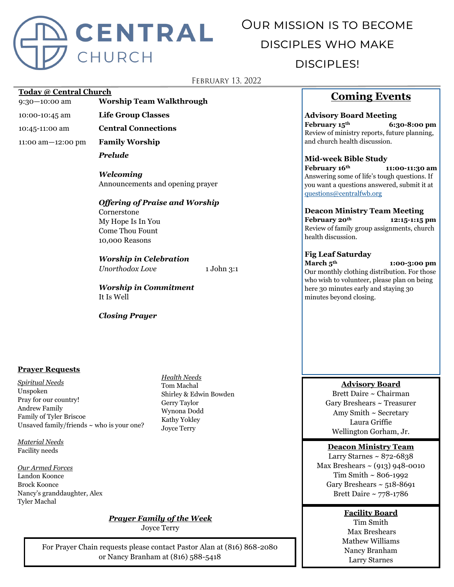

# Our mission is to become disciples who make disciples!

## **FEBRUARY 13, 2022**

#### **Today @ Central Church**

9:30—10:00 am **Worship Team Walkthrough**

- 10:00-10:45 am **Life Group Classes**
- 10:45-11:00 am **Central Connections**

11:00 am—12:00 pm **Family Worship**

*Prelude*

*Welcoming* Announcements and opening prayer

## *Offering of Praise and Worship* Cornerstone My Hope Is In You

Come Thou Fount 10,000 Reasons

## *Worship in Celebration*

*Unorthodox Love* 1 John 3:1

*Worship in Commitment* It Is Well

*Closing Prayer*

#### **Prayer Requests**

*Spiritual Needs* Unspoken Pray for our country! Andrew Family Family of Tyler Briscoe Unsaved family/friends  $\sim$  who is your one?

*Material Needs* Facility needs

*Our Armed Forces* Landon Koonce Brock Koonce Nancy's granddaughter, Alex Tyler Machal

*Health Needs* Tom Machal

Gerry Taylor Wynona Dodd Kathy Yokley Joyce Terry

Shirley & Edwin Bowden

## *Prayer Family of the Week*

Joyce Terry

For Prayer Chain requests please contact Pastor Alan at (816) 868-2080 or Nancy Branham at (816) 588-5418

## **Coming Events**

**Advisory Board Meeting February 15th 6:30-8:00 pm** Review of ministry reports, future planning, and church health discussion.

**Mid-week Bible Study February 16th 11:00-11:30 am** Answering some of life's tough questions. If you want a questions answered, submit it at [questions@centralfwb.org](mailto:questions@centralfwb.org?subject=My%20Question%20Is)

**Deacon Ministry Team Meeting February 20th 12:15-1:15 pm** Review of family group assignments, church health discussion.

### **Fig Leaf Saturday**

**March 5th 1:00-3:00 pm** Our monthly clothing distribution. For those who wish to volunteer, please plan on being here 30 minutes early and staying 30 minutes beyond closing.

## **Advisory Board**

Brett Daire ~ Chairman Gary Breshears ~ Treasurer Amy Smith ~ Secretary Laura Griffie Wellington Gorham, Jr.

#### **Deacon Ministry Team**

Larry Starnes  $\sim 872 - 6838$ Max Breshears  $\sim$  (913) 948-0010 Tim Smith ~ 806-1992 Gary Breshears  $\sim$  518-8691 Brett Daire ~ 778-1786

**Facility Board**

Tim Smith Max Breshears Mathew Williams Nancy Branham Larry Starnes